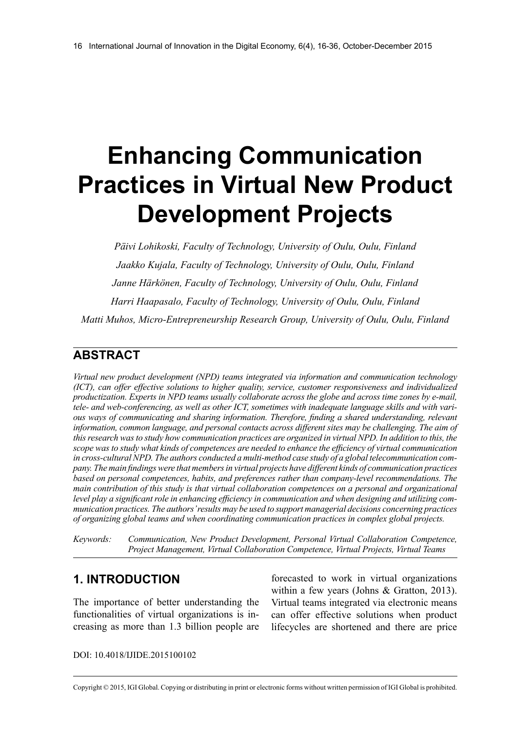# **Enhancing Communication Practices in Virtual New Product Development Projects**

*Päivi Lohikoski, Faculty of Technology, University of Oulu, Oulu, Finland Jaakko Kujala, Faculty of Technology, University of Oulu, Oulu, Finland Janne Härkönen, Faculty of Technology, University of Oulu, Oulu, Finland Harri Haapasalo, Faculty of Technology, University of Oulu, Oulu, Finland Matti Muhos, Micro-Entrepreneurship Research Group, University of Oulu, Oulu, Finland*

# **ABSTRACT**

*Virtual new product development (NPD) teams integrated via information and communication technology (ICT), can offer effective solutions to higher quality, service, customer responsiveness and individualized productization. Experts in NPD teams usually collaborate across the globe and across time zones by e-mail, tele- and web-conferencing, as well as other ICT, sometimes with inadequate language skills and with various ways of communicating and sharing information. Therefore, finding a shared understanding, relevant*  information, common language, and personal contacts across different sites may be challenging. The aim of *this research was to study how communication practices are organized in virtual NPD. In addition to this, the scope was to study what kinds of competences are needed to enhance the efficiency of virtual communication in cross-cultural NPD. The authors conducted a multi-method case study of a global telecommunication company. The main findings were that members in virtual projects have different kinds of communication practices based on personal competences, habits, and preferences rather than company-level recommendations. The main contribution of this study is that virtual collaboration competences on a personal and organizational level play a significant role in enhancing efficiency in communication and when designing and utilizing communication practices. The authors' results may be used to support managerial decisions concerning practices of organizing global teams and when coordinating communication practices in complex global projects.*

*Keywords: Communication, New Product Development, Personal Virtual Collaboration Competence, Project Management, Virtual Collaboration Competence, Virtual Projects, Virtual Teams*

# **1. INTRODUCTION**

The importance of better understanding the functionalities of virtual organizations is increasing as more than 1.3 billion people are forecasted to work in virtual organizations within a few years (Johns & Gratton, 2013). Virtual teams integrated via electronic means can offer effective solutions when product lifecycles are shortened and there are price

DOI: 10.4018/IJIDE.2015100102

Copyright © 2015, IGI Global. Copying or distributing in print or electronic forms without written permission of IGI Global is prohibited.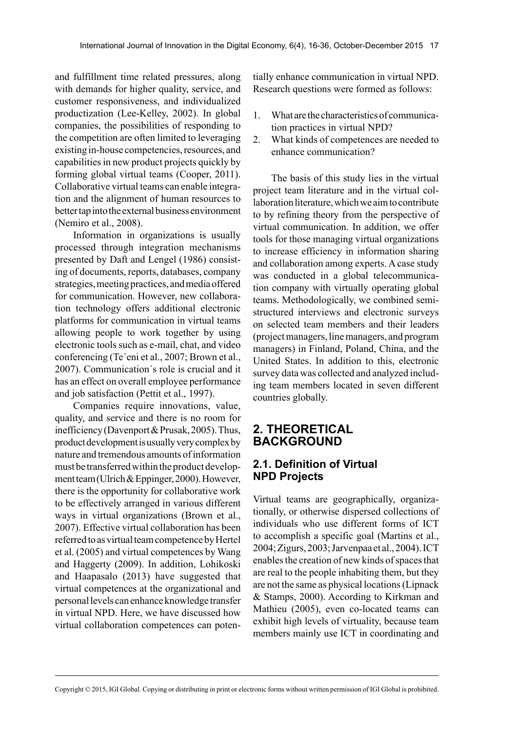and fulfillment time related pressures, along with demands for higher quality, service, and customer responsiveness, and individualized productization (Lee-Kelley, 2002). In global companies, the possibilities of responding to the competition are often limited to leveraging existing in-house competencies, resources, and capabilities in new product projects quickly by forming global virtual teams (Cooper, 2011). Collaborative virtual teams can enable integration and the alignment of human resources to better tap into the external business environment (Nemiro et al., 2008).

Information in organizations is usually processed through integration mechanisms presented by Daft and Lengel (1986) consisting of documents, reports, databases, company strategies, meeting practices, and media offered for communication. However, new collaboration technology offers additional electronic platforms for communication in virtual teams allowing people to work together by using electronic tools such as e-mail, chat, and video conferencing (Te´eni et al., 2007; Brown et al., 2007). Communication´s role is crucial and it has an effect on overall employee performance and job satisfaction (Pettit et al., 1997).

Companies require innovations, value, quality, and service and there is no room for inefficiency (Davenport & Prusak, 2005). Thus, product development is usually very complex by nature and tremendous amounts of information must be transferred within the product development team (Ulrich & Eppinger, 2000). However, there is the opportunity for collaborative work to be effectively arranged in various different ways in virtual organizations (Brown et al., 2007). Effective virtual collaboration has been referred to as virtual team competence by Hertel et al. (2005) and virtual competences by Wang and Haggerty (2009). In addition, Lohikoski and Haapasalo (2013) have suggested that virtual competences at the organizational and personal levels can enhance knowledge transfer in virtual NPD. Here, we have discussed how virtual collaboration competences can potentially enhance communication in virtual NPD. Research questions were formed as follows:

- 1. What are the characteristics of communication practices in virtual NPD?
- 2. What kinds of competences are needed to enhance communication?

The basis of this study lies in the virtual project team literature and in the virtual collaboration literature, which we aim to contribute to by refining theory from the perspective of virtual communication. In addition, we offer tools for those managing virtual organizations to increase efficiency in information sharing and collaboration among experts. A case study was conducted in a global telecommunication company with virtually operating global teams. Methodologically, we combined semistructured interviews and electronic surveys on selected team members and their leaders (project managers, line managers, and program managers) in Finland, Poland, China, and the United States. In addition to this, electronic survey data was collected and analyzed including team members located in seven different countries globally.

#### **2. THEORETICAL BACKGROUND**

#### **2.1. Definition of Virtual NPD Projects**

Virtual teams are geographically, organizationally, or otherwise dispersed collections of individuals who use different forms of ICT to accomplish a specific goal (Martins et al., 2004; Zigurs, 2003; Jarvenpaa et al., 2004). ICT enables the creation of new kinds of spaces that are real to the people inhabiting them, but they are not the same as physical locations (Lipnack & Stamps, 2000). According to Kirkman and Mathieu (2005), even co-located teams can exhibit high levels of virtuality, because team members mainly use ICT in coordinating and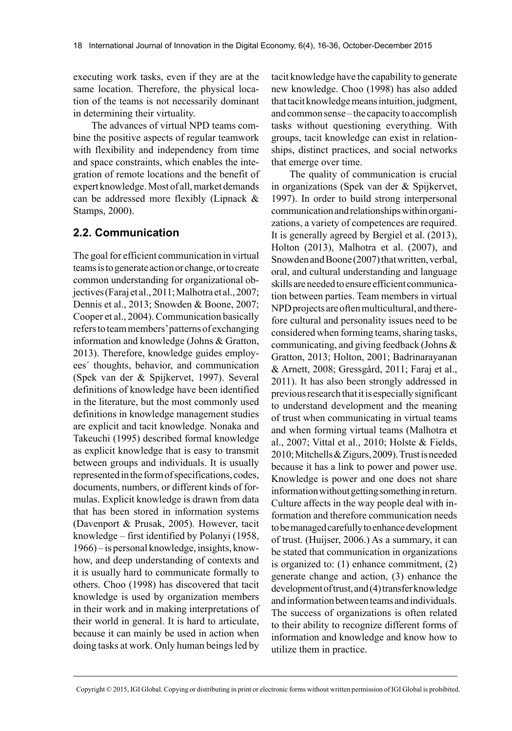executing work tasks, even if they are at the same location. Therefore, the physical location of the teams is not necessarily dominant in determining their virtuality.

The advances of virtual NPD teams combine the positive aspects of regular teamwork with flexibility and independency from time and space constraints, which enables the integration of remote locations and the benefit of expert knowledge. Most of all, market demands can be addressed more flexibly (Lipnack & Stamps, 2000).

#### **2.2. Communication**

The goal for efficient communication in virtual teams is to generate action or change, or to create common understanding for organizational objectives (Faraj et al., 2011; Malhotra et al., 2007; Dennis et al., 2013; Snowden & Boone, 2007; Cooper et al., 2004). Communication basically refers to team members' patterns of exchanging information and knowledge (Johns & Gratton, 2013). Therefore, knowledge guides employees´ thoughts, behavior, and communication (Spek van der & Spijkervet, 1997). Several definitions of knowledge have been identified in the literature, but the most commonly used definitions in knowledge management studies are explicit and tacit knowledge. Nonaka and Takeuchi (1995) described formal knowledge as explicit knowledge that is easy to transmit between groups and individuals. It is usually represented in the form of specifications, codes, documents, numbers, or different kinds of formulas. Explicit knowledge is drawn from data that has been stored in information systems (Davenport & Prusak, 2005). However, tacit knowledge – first identified by Polanyi (1958, 1966) – is personal knowledge, insights, knowhow, and deep understanding of contexts and it is usually hard to communicate formally to others. Choo (1998) has discovered that tacit knowledge is used by organization members in their work and in making interpretations of their world in general. It is hard to articulate, because it can mainly be used in action when doing tasks at work. Only human beings led by

tacit knowledge have the capability to generate new knowledge. Choo (1998) has also added that tacit knowledge means intuition, judgment, and common sense – the capacity to accomplish tasks without questioning everything. With groups, tacit knowledge can exist in relationships, distinct practices, and social networks that emerge over time.

The quality of communication is crucial in organizations (Spek van der & Spijkervet, 1997). In order to build strong interpersonal communication and relationships within organizations, a variety of competences are required. It is generally agreed by Bergiel et al. (2013), Holton (2013), Malhotra et al. (2007), and Snowden and Boone (2007) that written, verbal, oral, and cultural understanding and language skills are needed to ensure efficient communication between parties. Team members in virtual NPD projects are often multicultural, and therefore cultural and personality issues need to be considered when forming teams, sharing tasks, communicating, and giving feedback (Johns & Gratton, 2013; Holton, 2001; Badrinarayanan & Arnett, 2008; Gressgård, 2011; Faraj et al., 2011). It has also been strongly addressed in previous research that it is especially significant to understand development and the meaning of trust when communicating in virtual teams and when forming virtual teams (Malhotra et al., 2007; Vittal et al., 2010; Holste & Fields, 2010; Mitchells & Zigurs, 2009). Trust is needed because it has a link to power and power use. Knowledge is power and one does not share information without getting something in return. Culture affects in the way people deal with information and therefore communication needs to be managed carefully to enhance development of trust. (Huijser, 2006.) As a summary, it can be stated that communication in organizations is organized to: (1) enhance commitment, (2) generate change and action, (3) enhance the development of trust, and (4) transfer knowledge and information between teams and individuals. The success of organizations is often related to their ability to recognize different forms of information and knowledge and know how to utilize them in practice.

Copyright © 2015, IGI Global. Copying or distributing in print or electronic forms without written permission of IGI Global is prohibited.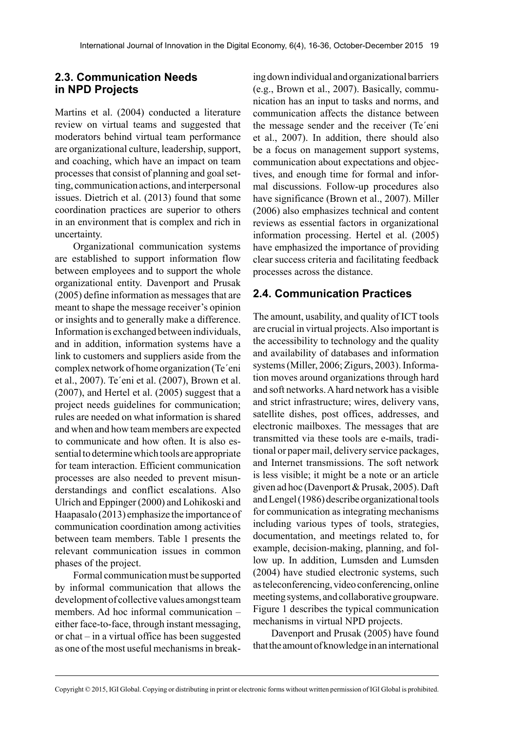#### **2.3. Communication Needs in NPD Projects**

Martins et al. (2004) conducted a literature review on virtual teams and suggested that moderators behind virtual team performance are organizational culture, leadership, support, and coaching, which have an impact on team processes that consist of planning and goal setting, communication actions, and interpersonal issues. Dietrich et al. (2013) found that some coordination practices are superior to others in an environment that is complex and rich in uncertainty.

Organizational communication systems are established to support information flow between employees and to support the whole organizational entity. Davenport and Prusak (2005) define information as messages that are meant to shape the message receiver's opinion or insights and to generally make a difference. Information is exchanged between individuals, and in addition, information systems have a link to customers and suppliers aside from the complex network of home organization (Te´eni et al., 2007). Te´eni et al. (2007), Brown et al. (2007), and Hertel et al. (2005) suggest that a project needs guidelines for communication; rules are needed on what information is shared and when and how team members are expected to communicate and how often. It is also essential to determine which tools are appropriate for team interaction. Efficient communication processes are also needed to prevent misunderstandings and conflict escalations. Also Ulrich and Eppinger (2000) and Lohikoski and Haapasalo (2013) emphasize the importance of communication coordination among activities between team members. Table 1 presents the relevant communication issues in common phases of the project.

Formal communication must be supported by informal communication that allows the development of collective values amongst team members. Ad hoc informal communication – either face-to-face, through instant messaging, or chat – in a virtual office has been suggested as one of the most useful mechanisms in breaking down individual and organizational barriers (e.g., Brown et al., 2007). Basically, communication has an input to tasks and norms, and communication affects the distance between the message sender and the receiver (Te´eni et al., 2007). In addition, there should also be a focus on management support systems, communication about expectations and objectives, and enough time for formal and informal discussions. Follow-up procedures also have significance (Brown et al., 2007). Miller (2006) also emphasizes technical and content reviews as essential factors in organizational information processing. Hertel et al. (2005) have emphasized the importance of providing clear success criteria and facilitating feedback processes across the distance.

#### **2.4. Communication Practices**

The amount, usability, and quality of ICT tools are crucial in virtual projects. Also important is the accessibility to technology and the quality and availability of databases and information systems (Miller, 2006; Zigurs, 2003). Information moves around organizations through hard and soft networks. A hard network has a visible and strict infrastructure; wires, delivery vans, satellite dishes, post offices, addresses, and electronic mailboxes. The messages that are transmitted via these tools are e-mails, traditional or paper mail, delivery service packages, and Internet transmissions. The soft network is less visible; it might be a note or an article given ad hoc (Davenport & Prusak, 2005). Daft and Lengel (1986) describe organizational tools for communication as integrating mechanisms including various types of tools, strategies, documentation, and meetings related to, for example, decision-making, planning, and follow up. In addition, Lumsden and Lumsden (2004) have studied electronic systems, such as teleconferencing, video conferencing, online meeting systems, and collaborative groupware. Figure 1 describes the typical communication mechanisms in virtual NPD projects.

Davenport and Prusak (2005) have found that the amount of knowledge in an international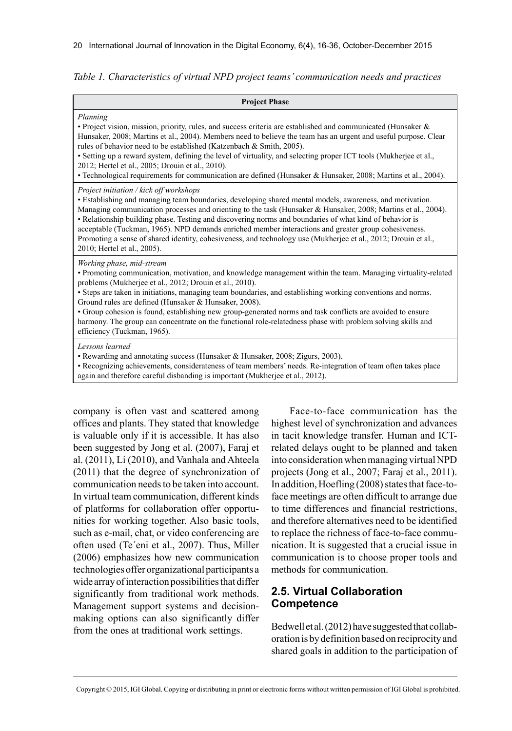*Table 1. Characteristics of virtual NPD project teams' communication needs and practices* 

| <b>Project Phase</b>                                                                                                                                                                                                                                                                                                                                                                                                                                                                                                                                                                                                                     |
|------------------------------------------------------------------------------------------------------------------------------------------------------------------------------------------------------------------------------------------------------------------------------------------------------------------------------------------------------------------------------------------------------------------------------------------------------------------------------------------------------------------------------------------------------------------------------------------------------------------------------------------|
| Planning<br>• Project vision, mission, priority, rules, and success criteria are established and communicated (Hunsaker $\&$<br>Hunsaker, 2008; Martins et al., 2004). Members need to believe the team has an urgent and useful purpose. Clear<br>rules of behavior need to be established (Katzenbach & Smith, 2005).<br>• Setting up a reward system, defining the level of virtuality, and selecting proper ICT tools (Mukherjee et al.,<br>2012; Hertel et al., 2005; Drouin et al., 2010).<br>• Technological requirements for communication are defined (Hunsaker & Hunsaker, 2008; Martins et al., 2004).                        |
| Project initiation / kick off workshops<br>• Establishing and managing team boundaries, developing shared mental models, awareness, and motivation.<br>Managing communication processes and orienting to the task (Hunsaker & Hunsaker, 2008; Martins et al., 2004).<br>• Relationship building phase. Testing and discovering norms and boundaries of what kind of behavior is<br>acceptable (Tuckman, 1965). NPD demands enriched member interactions and greater group cohesiveness.<br>Promoting a sense of shared identity, cohesiveness, and technology use (Mukherjee et al., 2012; Drouin et al.,<br>2010; Hertel et al., 2005). |
| Working phase, mid-stream<br>• Promoting communication, motivation, and knowledge management within the team. Managing virtuality-related<br>problems (Mukherjee et al., 2012; Drouin et al., 2010).<br>• Steps are taken in initiations, managing team boundaries, and establishing working conventions and norms.<br>Ground rules are defined (Hunsaker & Hunsaker, 2008).<br>• Group cohesion is found, establishing new group-generated norms and task conflicts are avoided to ensure<br>harmony. The group can concentrate on the functional role-relatedness phase with problem solving skills and<br>efficiency (Tuckman, 1965). |
| Lessons learned<br>• Rewarding and annotating success (Hunsaker & Hunsaker, 2008; Zigurs, 2003).<br>• Recognizing achievements, considerateness of team members' needs. Re-integration of team often takes place<br>again and therefore careful disbanding is important (Mukherjee et al., 2012).                                                                                                                                                                                                                                                                                                                                        |

company is often vast and scattered among offices and plants. They stated that knowledge is valuable only if it is accessible. It has also been suggested by Jong et al. (2007), Faraj et al. (2011), Li (2010), and Vanhala and Ahteela (2011) that the degree of synchronization of communication needs to be taken into account. In virtual team communication, different kinds of platforms for collaboration offer opportunities for working together. Also basic tools, such as e-mail, chat, or video conferencing are often used (Te´eni et al., 2007). Thus, Miller (2006) emphasizes how new communication technologies offer organizational participants a wide array of interaction possibilities that differ significantly from traditional work methods. Management support systems and decisionmaking options can also significantly differ from the ones at traditional work settings.

Face-to-face communication has the highest level of synchronization and advances in tacit knowledge transfer. Human and ICTrelated delays ought to be planned and taken into consideration when managing virtual NPD projects (Jong et al., 2007; Faraj et al., 2011). In addition, Hoefling (2008) states that face-toface meetings are often difficult to arrange due to time differences and financial restrictions, and therefore alternatives need to be identified to replace the richness of face-to-face communication. It is suggested that a crucial issue in communication is to choose proper tools and methods for communication.

## **2.5. Virtual Collaboration Competence**

Bedwell et al. (2012) have suggested that collaboration is by definition based on reciprocity and shared goals in addition to the participation of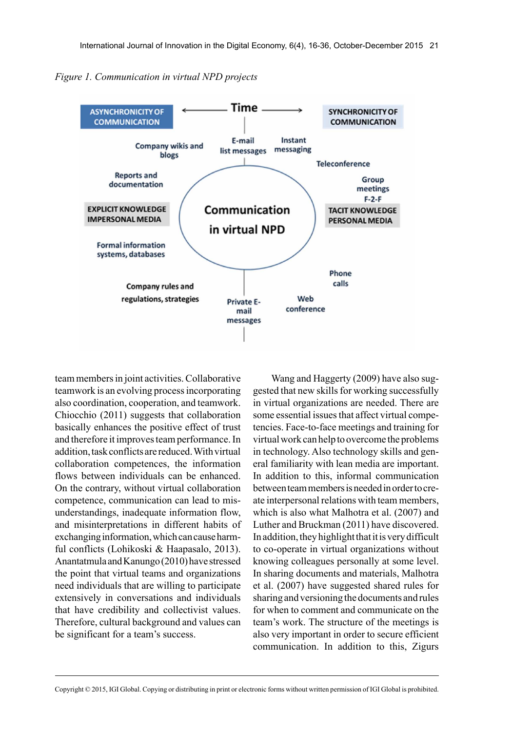



team members in joint activities. Collaborative teamwork is an evolving process incorporating also coordination, cooperation, and teamwork. Chiocchio (2011) suggests that collaboration basically enhances the positive effect of trust and therefore it improves team performance. In addition, task conflicts are reduced. With virtual collaboration competences, the information flows between individuals can be enhanced. On the contrary, without virtual collaboration competence, communication can lead to misunderstandings, inadequate information flow, and misinterpretations in different habits of exchanging information, which can cause harmful conflicts (Lohikoski & Haapasalo, 2013). Anantatmula and Kanungo (2010) have stressed the point that virtual teams and organizations need individuals that are willing to participate extensively in conversations and individuals that have credibility and collectivist values. Therefore, cultural background and values can be significant for a team's success.

Wang and Haggerty (2009) have also suggested that new skills for working successfully in virtual organizations are needed. There are some essential issues that affect virtual competencies. Face-to-face meetings and training for virtual work can help to overcome the problems in technology. Also technology skills and general familiarity with lean media are important. In addition to this, informal communication between team members is needed in order to create interpersonal relations with team members, which is also what Malhotra et al. (2007) and Luther and Bruckman (2011) have discovered. In addition, they highlight that it is very difficult to co-operate in virtual organizations without knowing colleagues personally at some level. In sharing documents and materials, Malhotra et al. (2007) have suggested shared rules for sharing and versioning the documents and rules for when to comment and communicate on the team's work. The structure of the meetings is also very important in order to secure efficient communication. In addition to this, Zigurs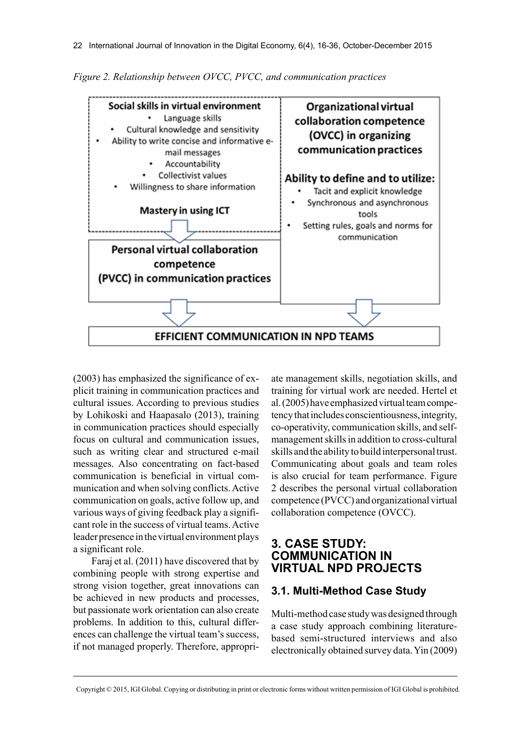*Figure 2. Relationship between OVCC, PVCC, and communication practices*



(2003) has emphasized the significance of explicit training in communication practices and cultural issues. According to previous studies by Lohikoski and Haapasalo (2013), training in communication practices should especially focus on cultural and communication issues, such as writing clear and structured e-mail messages. Also concentrating on fact-based communication is beneficial in virtual communication and when solving conflicts. Active communication on goals, active follow up, and various ways of giving feedback play a significant role in the success of virtual teams. Active leader presence in the virtual environment plays a significant role.

Faraj et al. (2011) have discovered that by combining people with strong expertise and strong vision together, great innovations can be achieved in new products and processes, but passionate work orientation can also create problems. In addition to this, cultural differences can challenge the virtual team's success, if not managed properly. Therefore, appropriate management skills, negotiation skills, and training for virtual work are needed. Hertel et al. (2005) have emphasized virtual team competency that includes conscientiousness, integrity, co-operativity, communication skills, and selfmanagement skills in addition to cross-cultural skills and the ability to build interpersonal trust. Communicating about goals and team roles is also crucial for team performance. Figure 2 describes the personal virtual collaboration competence (PVCC) and organizational virtual collaboration competence (OVCC).

## **3. CASE STUDY: COMMUNICATION IN VIRTUAL NPD PROJECTS**

## **3.1. Multi-Method Case Study**

Multi-method case study was designed through a case study approach combining literaturebased semi-structured interviews and also electronically obtained survey data. Yin (2009)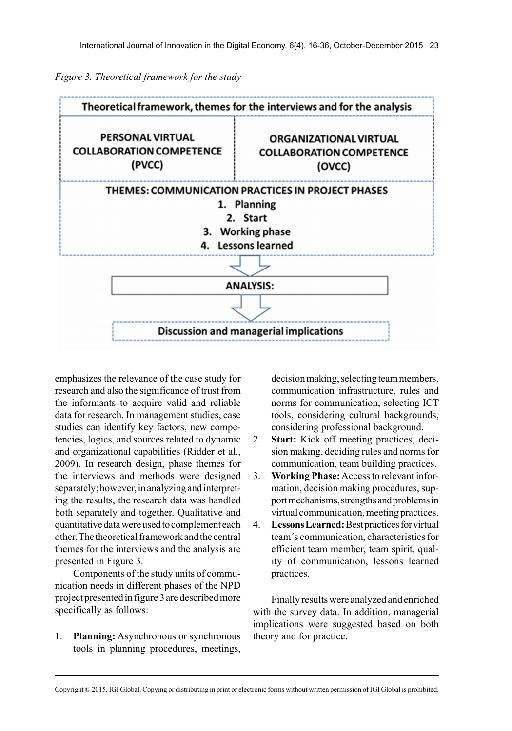



emphasizes the relevance of the case study for research and also the significance of trust from the informants to acquire valid and reliable data for research. In management studies, case studies can identify key factors, new competencies, logics, and sources related to dynamic and organizational capabilities (Ridder et al., 2009). In research design, phase themes for the interviews and methods were designed separately; however, in analyzing and interpreting the results, the research data was handled both separately and together. Qualitative and quantitative data were used to complement each other. The theoretical framework and the central themes for the interviews and the analysis are presented in Figure 3.

Components of the study units of communication needs in different phases of the NPD project presented in figure 3 are described more specifically as follows:

1. **Planning:** Asynchronous or synchronous tools in planning procedures, meetings, decision making, selecting team members, communication infrastructure, rules and norms for communication, selecting ICT tools, considering cultural backgrounds, considering professional background.

- 2. **Start:** Kick off meeting practices, decision making, deciding rules and norms for communication, team building practices.
- 3. **Working Phase:** Access to relevant information, decision making procedures, support mechanisms, strengths and problems in virtual communication, meeting practices.
- 4. **Lessons Learned:** Best practices for virtual team´s communication, characteristics for efficient team member, team spirit, quality of communication, lessons learned practices.

Finally results were analyzed and enriched with the survey data. In addition, managerial implications were suggested based on both theory and for practice.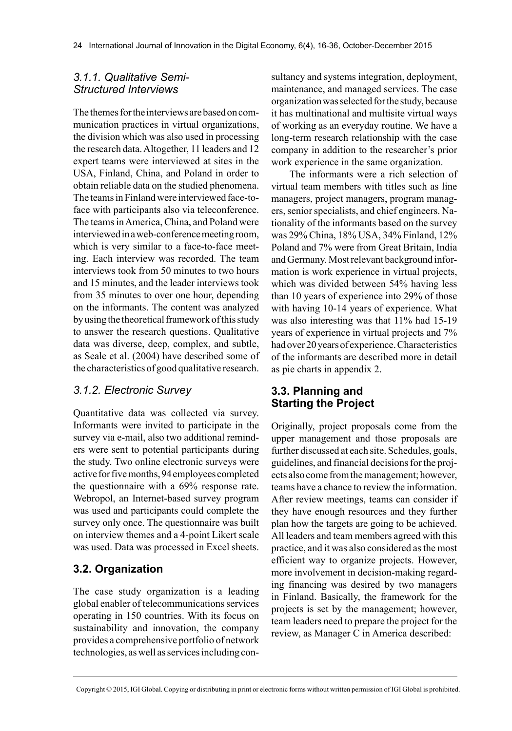#### *3.1.1. Qualitative Semi-Structured Interviews*

The themes for the interviews are based on communication practices in virtual organizations, the division which was also used in processing the research data. Altogether, 11 leaders and 12 expert teams were interviewed at sites in the USA, Finland, China, and Poland in order to obtain reliable data on the studied phenomena. The teams in Finland were interviewed face-toface with participants also via teleconference. The teams in America, China, and Poland were interviewed in a web-conference meeting room, which is very similar to a face-to-face meeting. Each interview was recorded. The team interviews took from 50 minutes to two hours and 15 minutes, and the leader interviews took from 35 minutes to over one hour, depending on the informants. The content was analyzed by using the theoretical framework of this study to answer the research questions. Qualitative data was diverse, deep, complex, and subtle, as Seale et al. (2004) have described some of the characteristics of good qualitative research.

## *3.1.2. Electronic Survey*

Quantitative data was collected via survey. Informants were invited to participate in the survey via e-mail, also two additional reminders were sent to potential participants during the study. Two online electronic surveys were active for five months, 94 employees completed the questionnaire with a 69% response rate. Webropol, an Internet-based survey program was used and participants could complete the survey only once. The questionnaire was built on interview themes and a 4-point Likert scale was used. Data was processed in Excel sheets.

# **3.2. Organization**

The case study organization is a leading global enabler of telecommunications services operating in 150 countries. With its focus on sustainability and innovation, the company provides a comprehensive portfolio of network technologies, as well as services including consultancy and systems integration, deployment, maintenance, and managed services. The case organization was selected for the study, because it has multinational and multisite virtual ways of working as an everyday routine. We have a long-term research relationship with the case company in addition to the researcher's prior work experience in the same organization.

The informants were a rich selection of virtual team members with titles such as line managers, project managers, program managers, senior specialists, and chief engineers. Nationality of the informants based on the survey was 29% China, 18% USA, 34% Finland, 12% Poland and 7% were from Great Britain, India and Germany. Most relevant background information is work experience in virtual projects, which was divided between 54% having less than 10 years of experience into 29% of those with having 10-14 years of experience. What was also interesting was that 11% had 15-19 years of experience in virtual projects and 7% had over 20 years of experience. Characteristics of the informants are described more in detail as pie charts in appendix 2.

## **3.3. Planning and Starting the Project**

Originally, project proposals come from the upper management and those proposals are further discussed at each site. Schedules, goals, guidelines, and financial decisions for the projects also come from the management; however, teams have a chance to review the information. After review meetings, teams can consider if they have enough resources and they further plan how the targets are going to be achieved. All leaders and team members agreed with this practice, and it was also considered as the most efficient way to organize projects. However, more involvement in decision-making regarding financing was desired by two managers in Finland. Basically, the framework for the projects is set by the management; however, team leaders need to prepare the project for the review, as Manager C in America described:

Copyright © 2015, IGI Global. Copying or distributing in print or electronic forms without written permission of IGI Global is prohibited.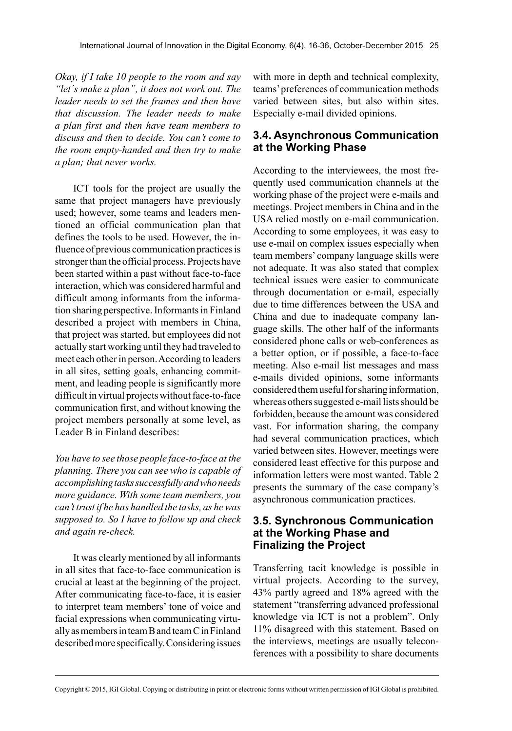*Okay, if I take 10 people to the room and say "let´s make a plan", it does not work out. The leader needs to set the frames and then have that discussion. The leader needs to make a plan first and then have team members to discuss and then to decide. You can't come to the room empty-handed and then try to make a plan; that never works.* 

ICT tools for the project are usually the same that project managers have previously used; however, some teams and leaders mentioned an official communication plan that defines the tools to be used. However, the influence of previous communication practices is stronger than the official process. Projects have been started within a past without face-to-face interaction, which was considered harmful and difficult among informants from the information sharing perspective. Informants in Finland described a project with members in China, that project was started, but employees did not actually start working until they had traveled to meet each other in person. According to leaders in all sites, setting goals, enhancing commitment, and leading people is significantly more difficult in virtual projects without face-to-face communication first, and without knowing the project members personally at some level, as Leader B in Finland describes:

*You have to see those people face-to-face at the planning. There you can see who is capable of accomplishing tasks successfully and who needs more guidance. With some team members, you can't trust if he has handled the tasks, as he was supposed to. So I have to follow up and check and again re-check.*

It was clearly mentioned by all informants in all sites that face-to-face communication is crucial at least at the beginning of the project. After communicating face-to-face, it is easier to interpret team members' tone of voice and facial expressions when communicating virtually as members in team B and team C in Finland described more specifically. Considering issues

with more in depth and technical complexity, teams' preferences of communication methods varied between sites, but also within sites. Especially e-mail divided opinions.

#### **3.4. Asynchronous Communication at the Working Phase**

According to the interviewees, the most frequently used communication channels at the working phase of the project were e-mails and meetings. Project members in China and in the USA relied mostly on e-mail communication. According to some employees, it was easy to use e-mail on complex issues especially when team members' company language skills were not adequate. It was also stated that complex technical issues were easier to communicate through documentation or e-mail, especially due to time differences between the USA and China and due to inadequate company language skills. The other half of the informants considered phone calls or web-conferences as a better option, or if possible, a face-to-face meeting. Also e-mail list messages and mass e-mails divided opinions, some informants considered them useful for sharing information, whereas others suggested e-mail lists should be forbidden, because the amount was considered vast. For information sharing, the company had several communication practices, which varied between sites. However, meetings were considered least effective for this purpose and information letters were most wanted. Table 2 presents the summary of the case company's asynchronous communication practices.

#### **3.5. Synchronous Communication at the Working Phase and Finalizing the Project**

Transferring tacit knowledge is possible in virtual projects. According to the survey, 43% partly agreed and 18% agreed with the statement "transferring advanced professional knowledge via ICT is not a problem". Only 11% disagreed with this statement. Based on the interviews, meetings are usually teleconferences with a possibility to share documents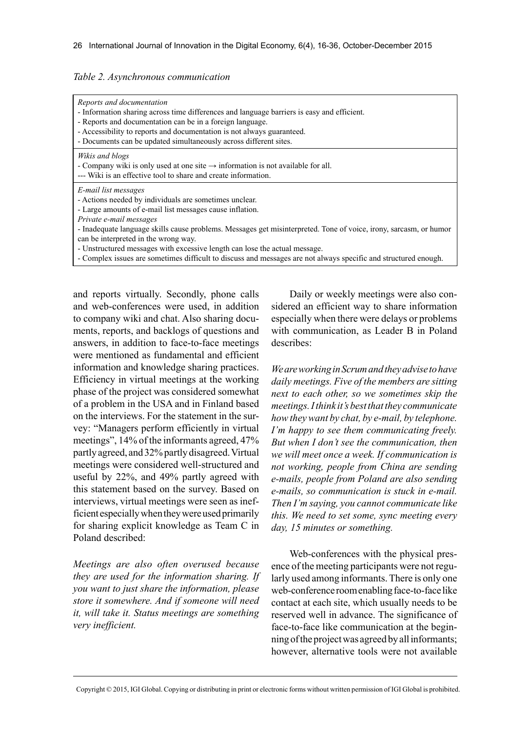|  | Table 2. Asynchronous communication |
|--|-------------------------------------|
|  |                                     |

| Wikis and blogs<br>- Company wiki is only used at one site $\rightarrow$ information is not available for all.<br>--- Wiki is an effective tool to share and create information.<br>E-mail list messages<br>- Actions needed by individuals are sometimes unclear.<br>- Large amounts of e-mail list messages cause inflation.<br>Private e-mail messages<br>- Inadequate language skills cause problems. Messages get misinterpreted. Tone of voice, irony, sarcasm, or humor | Reports and documentation<br>- Information sharing across time differences and language barriers is easy and efficient.<br>- Reports and documentation can be in a foreign language.<br>- Accessibility to reports and documentation is not always guaranteed.<br>- Documents can be updated simultaneously across different sites. |
|--------------------------------------------------------------------------------------------------------------------------------------------------------------------------------------------------------------------------------------------------------------------------------------------------------------------------------------------------------------------------------------------------------------------------------------------------------------------------------|-------------------------------------------------------------------------------------------------------------------------------------------------------------------------------------------------------------------------------------------------------------------------------------------------------------------------------------|
|                                                                                                                                                                                                                                                                                                                                                                                                                                                                                |                                                                                                                                                                                                                                                                                                                                     |
| can be interpreted in the wrong way.<br>- Unstructured messages with excessive length can lose the actual message.<br>- Complex issues are sometimes difficult to discuss and messages are not always specific and structured enough.                                                                                                                                                                                                                                          |                                                                                                                                                                                                                                                                                                                                     |

and reports virtually. Secondly, phone calls and web-conferences were used, in addition to company wiki and chat. Also sharing documents, reports, and backlogs of questions and answers, in addition to face-to-face meetings were mentioned as fundamental and efficient information and knowledge sharing practices. Efficiency in virtual meetings at the working phase of the project was considered somewhat of a problem in the USA and in Finland based on the interviews. For the statement in the survey: "Managers perform efficiently in virtual meetings", 14% of the informants agreed, 47% partly agreed, and 32% partly disagreed. Virtual meetings were considered well-structured and useful by 22%, and 49% partly agreed with this statement based on the survey. Based on interviews, virtual meetings were seen as inefficient especially when they were used primarily for sharing explicit knowledge as Team C in Poland described:

*Meetings are also often overused because they are used for the information sharing. If you want to just share the information, please store it somewhere. And if someone will need it, will take it. Status meetings are something very inefficient.*

Daily or weekly meetings were also considered an efficient way to share information especially when there were delays or problems with communication, as Leader B in Poland describes:

*We are working in Scrum and they advise to have daily meetings. Five of the members are sitting next to each other, so we sometimes skip the meetings. I think it's best that they communicate how they want by chat, by e-mail, by telephone. I'm happy to see them communicating freely. But when I don't see the communication, then we will meet once a week. If communication is not working, people from China are sending e-mails, people from Poland are also sending e-mails, so communication is stuck in e-mail. Then I'm saying, you cannot communicate like this. We need to set some, sync meeting every day, 15 minutes or something.*

Web-conferences with the physical presence of the meeting participants were not regularly used among informants. There is only one web-conference room enabling face-to-face like contact at each site, which usually needs to be reserved well in advance. The significance of face-to-face like communication at the beginning of the project was agreed by all informants; however, alternative tools were not available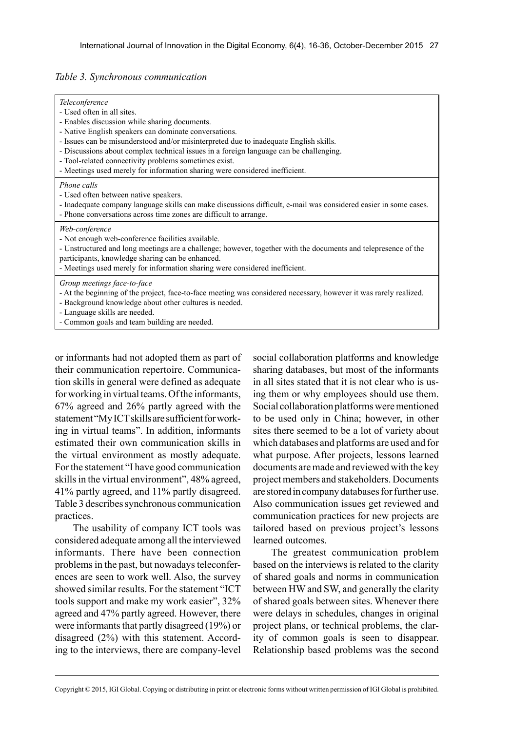| Table 3. Synchronous communication |  |  |  |
|------------------------------------|--|--|--|
|------------------------------------|--|--|--|

| Teleconference<br>- Used often in all sites.<br>- Enables discussion while sharing documents.<br>- Native English speakers can dominate conversations.<br>- Issues can be misunderstood and/or misinterpreted due to inadequate English skills.<br>- Discussions about complex technical issues in a foreign language can be challenging.<br>- Tool-related connectivity problems sometimes exist.<br>- Meetings used merely for information sharing were considered inefficient. |
|-----------------------------------------------------------------------------------------------------------------------------------------------------------------------------------------------------------------------------------------------------------------------------------------------------------------------------------------------------------------------------------------------------------------------------------------------------------------------------------|
| Phone calls<br>- Used often between native speakers.<br>- Inadequate company language skills can make discussions difficult, e-mail was considered easier in some cases.<br>- Phone conversations across time zones are difficult to arrange.                                                                                                                                                                                                                                     |
| Web-conference<br>- Not enough web-conference facilities available.<br>- Unstructured and long meetings are a challenge; however, together with the documents and telepresence of the<br>participants, knowledge sharing can be enhanced.<br>- Meetings used merely for information sharing were considered inefficient.                                                                                                                                                          |
| Group meetings face-to-face<br>- At the beginning of the project, face-to-face meeting was considered necessary, however it was rarely realized.<br>- Background knowledge about other cultures is needed.<br>- Language skills are needed.<br>- Common goals and team building are needed.                                                                                                                                                                                       |

or informants had not adopted them as part of their communication repertoire. Communication skills in general were defined as adequate for working in virtual teams. Of the informants, 67% agreed and 26% partly agreed with the statement "My ICT skills are sufficient for working in virtual teams". In addition, informants estimated their own communication skills in the virtual environment as mostly adequate. For the statement "I have good communication skills in the virtual environment", 48% agreed, 41% partly agreed, and 11% partly disagreed. Table 3 describes synchronous communication practices.

The usability of company ICT tools was considered adequate among all the interviewed informants. There have been connection problems in the past, but nowadays teleconferences are seen to work well. Also, the survey showed similar results. For the statement "ICT tools support and make my work easier", 32% agreed and 47% partly agreed. However, there were informants that partly disagreed (19%) or disagreed (2%) with this statement. According to the interviews, there are company-level social collaboration platforms and knowledge sharing databases, but most of the informants in all sites stated that it is not clear who is using them or why employees should use them. Social collaboration platforms were mentioned to be used only in China; however, in other sites there seemed to be a lot of variety about which databases and platforms are used and for what purpose. After projects, lessons learned documents are made and reviewed with the key project members and stakeholders. Documents are stored in company databases for further use. Also communication issues get reviewed and communication practices for new projects are tailored based on previous project's lessons learned outcomes.

The greatest communication problem based on the interviews is related to the clarity of shared goals and norms in communication between HW and SW, and generally the clarity of shared goals between sites. Whenever there were delays in schedules, changes in original project plans, or technical problems, the clarity of common goals is seen to disappear. Relationship based problems was the second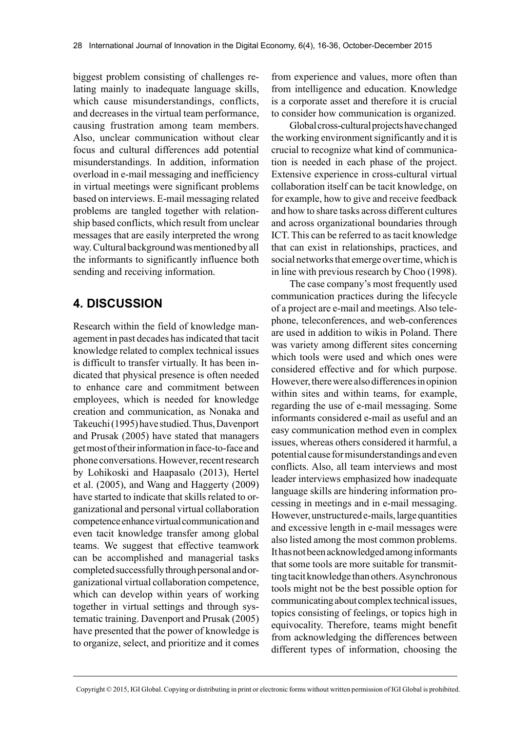biggest problem consisting of challenges relating mainly to inadequate language skills, which cause misunderstandings, conflicts, and decreases in the virtual team performance, causing frustration among team members. Also, unclear communication without clear focus and cultural differences add potential misunderstandings. In addition, information overload in e-mail messaging and inefficiency in virtual meetings were significant problems based on interviews. E-mail messaging related problems are tangled together with relationship based conflicts, which result from unclear messages that are easily interpreted the wrong way. Cultural background was mentioned by all the informants to significantly influence both sending and receiving information.

# **4. DISCUSSION**

Research within the field of knowledge management in past decades has indicated that tacit knowledge related to complex technical issues is difficult to transfer virtually. It has been indicated that physical presence is often needed to enhance care and commitment between employees, which is needed for knowledge creation and communication, as Nonaka and Takeuchi (1995) have studied. Thus, Davenport and Prusak (2005) have stated that managers get most of their information in face-to-face and phone conversations. However, recent research by Lohikoski and Haapasalo (2013), Hertel et al. (2005), and Wang and Haggerty (2009) have started to indicate that skills related to organizational and personal virtual collaboration competence enhance virtual communication and even tacit knowledge transfer among global teams. We suggest that effective teamwork can be accomplished and managerial tasks completed successfully through personal and organizational virtual collaboration competence, which can develop within years of working together in virtual settings and through systematic training. Davenport and Prusak (2005) have presented that the power of knowledge is to organize, select, and prioritize and it comes

from experience and values, more often than from intelligence and education. Knowledge is a corporate asset and therefore it is crucial to consider how communication is organized.

Global cross-cultural projects have changed the working environment significantly and it is crucial to recognize what kind of communication is needed in each phase of the project. Extensive experience in cross-cultural virtual collaboration itself can be tacit knowledge, on for example, how to give and receive feedback and how to share tasks across different cultures and across organizational boundaries through ICT. This can be referred to as tacit knowledge that can exist in relationships, practices, and social networks that emerge over time, which is in line with previous research by Choo (1998).

The case company's most frequently used communication practices during the lifecycle of a project are e-mail and meetings. Also telephone, teleconferences, and web-conferences are used in addition to wikis in Poland. There was variety among different sites concerning which tools were used and which ones were considered effective and for which purpose. However, there were also differences in opinion within sites and within teams, for example, regarding the use of e-mail messaging. Some informants considered e-mail as useful and an easy communication method even in complex issues, whereas others considered it harmful, a potential cause for misunderstandings and even conflicts. Also, all team interviews and most leader interviews emphasized how inadequate language skills are hindering information processing in meetings and in e-mail messaging. However, unstructured e-mails, large quantities and excessive length in e-mail messages were also listed among the most common problems. It has not been acknowledged among informants that some tools are more suitable for transmitting tacit knowledge than others. Asynchronous tools might not be the best possible option for communicating about complex technical issues, topics consisting of feelings, or topics high in equivocality. Therefore, teams might benefit from acknowledging the differences between different types of information, choosing the

Copyright © 2015, IGI Global. Copying or distributing in print or electronic forms without written permission of IGI Global is prohibited.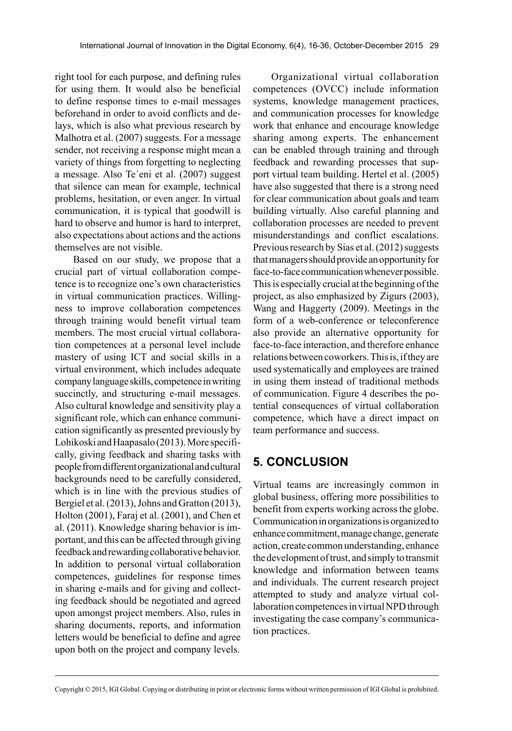right tool for each purpose, and defining rules for using them. It would also be beneficial to define response times to e-mail messages beforehand in order to avoid conflicts and delays, which is also what previous research by Malhotra et al. (2007) suggests. For a message sender, not receiving a response might mean a variety of things from forgetting to neglecting a message. Also Te´eni et al. (2007) suggest that silence can mean for example, technical problems, hesitation, or even anger. In virtual communication, it is typical that goodwill is hard to observe and humor is hard to interpret, also expectations about actions and the actions themselves are not visible.

Based on our study, we propose that a crucial part of virtual collaboration competence is to recognize one's own characteristics in virtual communication practices. Willingness to improve collaboration competences through training would benefit virtual team members. The most crucial virtual collaboration competences at a personal level include mastery of using ICT and social skills in a virtual environment, which includes adequate company language skills, competence in writing succinctly, and structuring e-mail messages. Also cultural knowledge and sensitivity play a significant role, which can enhance communication significantly as presented previously by Lohikoski and Haapasalo (2013). More specifically, giving feedback and sharing tasks with people from different organizational and cultural backgrounds need to be carefully considered, which is in line with the previous studies of Bergiel et al. (2013), Johns and Gratton (2013), Holton (2001), Faraj et al. (2001), and Chen et al. (2011). Knowledge sharing behavior is important, and this can be affected through giving feedback and rewarding collaborative behavior. In addition to personal virtual collaboration competences, guidelines for response times in sharing e-mails and for giving and collecting feedback should be negotiated and agreed upon amongst project members. Also, rules in sharing documents, reports, and information letters would be beneficial to define and agree upon both on the project and company levels.

Organizational virtual collaboration competences (OVCC) include information systems, knowledge management practices, and communication processes for knowledge work that enhance and encourage knowledge sharing among experts. The enhancement can be enabled through training and through feedback and rewarding processes that support virtual team building. Hertel et al. (2005) have also suggested that there is a strong need for clear communication about goals and team building virtually. Also careful planning and collaboration processes are needed to prevent misunderstandings and conflict escalations. Previous research by Sias et al. (2012) suggests that managers should provide an opportunity for face-to-face communication whenever possible. This is especially crucial at the beginning of the project, as also emphasized by Zigurs (2003), Wang and Haggerty (2009). Meetings in the form of a web-conference or teleconference also provide an alternative opportunity for face-to-face interaction, and therefore enhance relations between coworkers. This is, if they are used systematically and employees are trained in using them instead of traditional methods of communication. Figure 4 describes the potential consequences of virtual collaboration competence, which have a direct impact on team performance and success.

# **5. CONCLUSION**

Virtual teams are increasingly common in global business, offering more possibilities to benefit from experts working across the globe. Communication in organizations is organized to enhance commitment, manage change, generate action, create common understanding, enhance the development of trust, and simply to transmit knowledge and information between teams and individuals. The current research project attempted to study and analyze virtual collaboration competences in virtual NPD through investigating the case company's communication practices.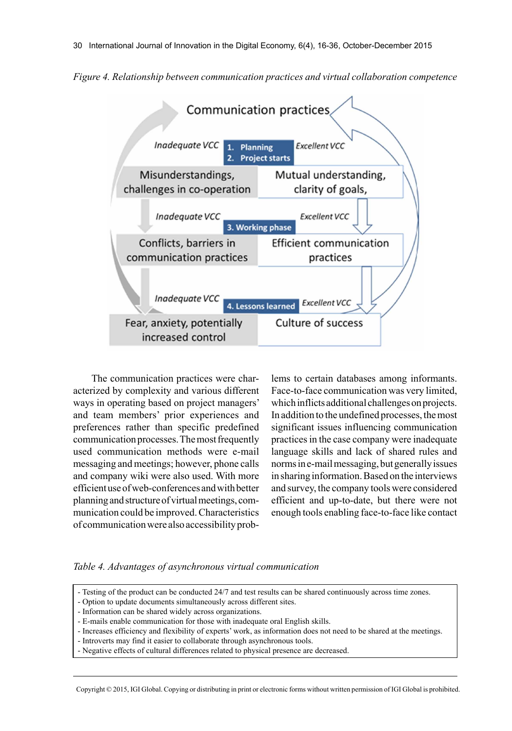

*Figure 4. Relationship between communication practices and virtual collaboration competence*

The communication practices were characterized by complexity and various different ways in operating based on project managers' and team members' prior experiences and preferences rather than specific predefined communication processes. The most frequently used communication methods were e-mail messaging and meetings; however, phone calls and company wiki were also used. With more efficient use of web-conferences and with better planning and structure of virtual meetings, communication could be improved. Characteristics of communication were also accessibility problems to certain databases among informants. Face-to-face communication was very limited, which inflicts additional challenges on projects. In addition to the undefined processes, the most significant issues influencing communication practices in the case company were inadequate language skills and lack of shared rules and norms in e-mail messaging, but generally issues in sharing information. Based on the interviews and survey, the company tools were considered efficient and up-to-date, but there were not enough tools enabling face-to-face like contact

*Table 4. Advantages of asynchronous virtual communication* 

- Testing of the product can be conducted 24/7 and test results can be shared continuously across time zones.
- Option to update documents simultaneously across different sites.
- Information can be shared widely across organizations.
- E-mails enable communication for those with inadequate oral English skills.
- Increases efficiency and flexibility of experts' work, as information does not need to be shared at the meetings.
- Introverts may find it easier to collaborate through asynchronous tools.
- Negative effects of cultural differences related to physical presence are decreased.

Copyright © 2015, IGI Global. Copying or distributing in print or electronic forms without written permission of IGI Global is prohibited.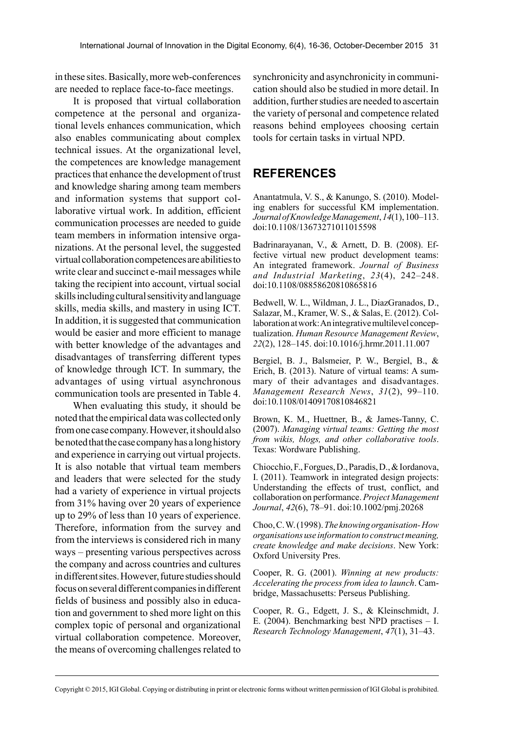in these sites. Basically, more web-conferences are needed to replace face-to-face meetings.

It is proposed that virtual collaboration competence at the personal and organizational levels enhances communication, which also enables communicating about complex technical issues. At the organizational level, the competences are knowledge management practices that enhance the development of trust and knowledge sharing among team members and information systems that support collaborative virtual work. In addition, efficient communication processes are needed to guide team members in information intensive organizations. At the personal level, the suggested virtual collaboration competences are abilities to write clear and succinct e-mail messages while taking the recipient into account, virtual social skills including cultural sensitivity and language skills, media skills, and mastery in using ICT. In addition, it is suggested that communication would be easier and more efficient to manage with better knowledge of the advantages and disadvantages of transferring different types of knowledge through ICT. In summary, the advantages of using virtual asynchronous communication tools are presented in Table 4.

When evaluating this study, it should be noted that the empirical data was collected only from one case company. However, it should also be noted that the case company has a long history and experience in carrying out virtual projects. It is also notable that virtual team members and leaders that were selected for the study had a variety of experience in virtual projects from 31% having over 20 years of experience up to 29% of less than 10 years of experience. Therefore, information from the survey and from the interviews is considered rich in many ways – presenting various perspectives across the company and across countries and cultures in different sites. However, future studies should focus on several different companies in different fields of business and possibly also in education and government to shed more light on this complex topic of personal and organizational virtual collaboration competence. Moreover, the means of overcoming challenges related to synchronicity and asynchronicity in communication should also be studied in more detail. In addition, further studies are needed to ascertain the variety of personal and competence related reasons behind employees choosing certain tools for certain tasks in virtual NPD.

# **REFERENCES**

Anantatmula, V. S., & Kanungo, S. (2010). Modeling enablers for successful KM implementation. *Journal of Knowledge Management*, *14*(1), 100–113. doi[:10.1108/13673271011015598](http://dx.doi.org/10.1108/13673271011015598)

Badrinarayanan, V., & Arnett, D. B. (2008). Effective virtual new product development teams: An integrated framework. *Journal of Business and Industrial Marketing*, *23*(4), 242–248. doi[:10.1108/08858620810865816](http://dx.doi.org/10.1108/08858620810865816)

Bedwell, W. L., Wildman, J. L., DiazGranados, D., Salazar, M., Kramer, W. S., & Salas, E. (2012). Collaboration at work: An integrative multilevel conceptualization. *Human Resource Management Review*, *22*(2), 128–145. doi:[10.1016/j.hrmr.2011.11.007](http://dx.doi.org/10.1016/j.hrmr.2011.11.007)

Bergiel, B. J., Balsmeier, P. W., Bergiel, B., & Erich, B. (2013). Nature of virtual teams: A summary of their advantages and disadvantages. *Management Research News*, *31*(2), 99–110. doi[:10.1108/01409170810846821](http://dx.doi.org/10.1108/01409170810846821)

Brown, K. M., Huettner, B., & James-Tanny, C. (2007). *Managing virtual teams: Getting the most from wikis, blogs, and other collaborative tools*. Texas: Wordware Publishing.

Chiocchio, F., Forgues, D., Paradis, D., & Iordanova, I. (2011). Teamwork in integrated design projects: Understanding the effects of trust, conflict, and collaboration on performance. *Project Management Journal*, *42*(6), 78–91. doi[:10.1002/pmj.20268](http://dx.doi.org/10.1002/pmj.20268)

Choo, C. W. (1998). *The knowing organisation- How organisations use information to construct meaning, create knowledge and make decisions*. New York: Oxford University Pres.

Cooper, R. G. (2001). *Winning at new products: Accelerating the process from idea to launch*. Cambridge, Massachusetts: Perseus Publishing.

Cooper, R. G., Edgett, J. S., & Kleinschmidt, J. E. (2004). Benchmarking best NPD practises – I. *Research Technology Management*, *47*(1), 31–43.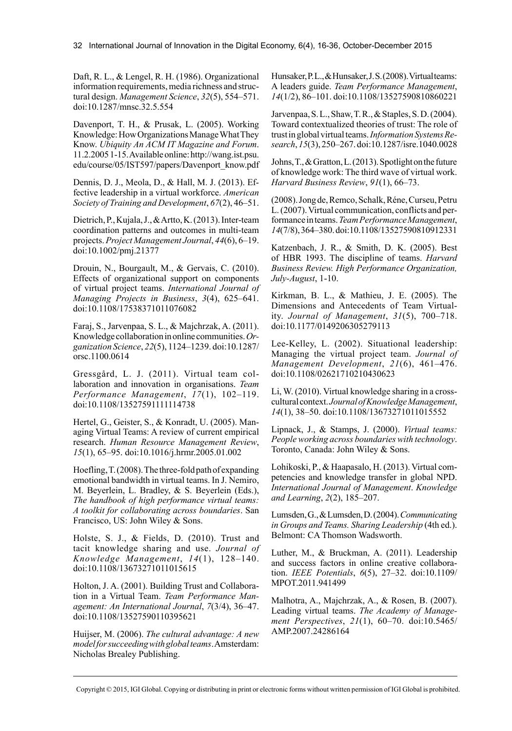Daft, R. L., & Lengel, R. H. (1986). Organizational information requirements, media richness and structural design. *Management Science*, *32*(5), 554–571. doi[:10.1287/mnsc.32.5.554](http://dx.doi.org/10.1287/mnsc.32.5.554)

Davenport, T. H., & Prusak, L. (2005). Working Knowledge: How Organizations Manage What They Know. *Ubiquity An ACM IT Magazine and Forum*. 11.2.2005 1-15. Available online: [http://wang.ist.psu.](http://wang.ist.psu.edu/course/05/IST597/papers/Davenport_know.pdf) [edu/course/05/IST597/papers/Davenport\\_know.pdf](http://wang.ist.psu.edu/course/05/IST597/papers/Davenport_know.pdf)

Dennis, D. J., Meola, D., & Hall, M. J. (2013). Effective leadership in a virtual workforce. *American Society of Training and Development*, *67*(2), 46–51.

Dietrich, P., Kujala, J., & Artto, K. (2013). Inter-team coordination patterns and outcomes in multi-team projects. *Project Management Journal*, *44*(6), 6–19. doi[:10.1002/pmj.21377](http://dx.doi.org/10.1002/pmj.21377)

Drouin, N., Bourgault, M., & Gervais, C. (2010). Effects of organizational support on components of virtual project teams. *International Journal of Managing Projects in Business*, *3*(4), 625–641. doi[:10.1108/17538371011076082](http://dx.doi.org/10.1108/17538371011076082)

Faraj, S., Jarvenpaa, S. L., & Majchrzak, A. (2011). Knowledge collaboration in online communities. *Organization Science*, *22*(5), 1124–1239. doi[:10.1287/](http://dx.doi.org/10.1287/orsc.1100.0614) [orsc.1100.0614](http://dx.doi.org/10.1287/orsc.1100.0614)

Gressgård, L. J. (2011). Virtual team collaboration and innovation in organisations. *Team Performance Management*, *17*(1), 102–119. doi[:10.1108/13527591111114738](http://dx.doi.org/10.1108/13527591111114738)

Hertel, G., Geister, S., & Konradt, U. (2005). Managing Virtual Teams: A review of current empirical research. *Human Resource Management Review*, *15*(1), 65–95. doi[:10.1016/j.hrmr.2005.01.002](http://dx.doi.org/10.1016/j.hrmr.2005.01.002)

Hoefling, T. (2008). The three-fold path of expanding emotional bandwidth in virtual teams. In J. Nemiro, M. Beyerlein, L. Bradley, & S. Beyerlein (Eds.), *The handbook of high performance virtual teams: A toolkit for collaborating across boundaries*. San Francisco, US: John Wiley & Sons.

Holste, S. J., & Fields, D. (2010). Trust and tacit knowledge sharing and use. *Journal of Knowledge Management*, *14*(1), 128–140. doi[:10.1108/13673271011015615](http://dx.doi.org/10.1108/13673271011015615)

Holton, J. A. (2001). Building Trust and Collaboration in a Virtual Team. *Team Performance Management: An International Journal*, *7*(3/4), 36–47. doi[:10.1108/13527590110395621](http://dx.doi.org/10.1108/13527590110395621)

Huijser, M. (2006). *The cultural advantage: A new model for succeeding with global teams*. Amsterdam: Nicholas Brealey Publishing.

Hunsaker, P. L., & Hunsaker, J. S. (2008). Virtual teams: A leaders guide. *Team Performance Management*, *14*(1/2), 86–101. doi[:10.1108/13527590810860221](http://dx.doi.org/10.1108/13527590810860221)

Jarvenpaa, S. L., Shaw, T. R., & Staples, S. D. (2004). Toward contextualized theories of trust: The role of trust in global virtual teams. *Information Systems Research*, *15*(3), 250–267. doi[:10.1287/isre.1040.0028](http://dx.doi.org/10.1287/isre.1040.0028)

Johns, T., & Gratton, L. (2013). Spotlight on the future of knowledge work: The third wave of virtual work. *Harvard Business Review*, *91*(1), 66–73.

(2008). Jong de, Remco, Schalk, Réne, Curseu, Petru L. (2007). Virtual communication, conflicts and performance in teams. *Team Performance Management*, *14*(7/8), 364–380. doi[:10.1108/13527590810912331](http://dx.doi.org/10.1108/13527590810912331)

Katzenbach, J. R., & Smith, D. K. (2005). Best of HBR 1993. The discipline of teams. *Harvard Business Review. High Performance Organization, July-August*, 1-10.

Kirkman, B. L., & Mathieu, J. E. (2005). The Dimensions and Antecedents of Team Virtuality. *Journal of Management*, *31*(5), 700–718. doi[:10.1177/0149206305279113](http://dx.doi.org/10.1177/0149206305279113)

Lee-Kelley, L. (2002). Situational leadership: Managing the virtual project team. *Journal of Management Development*, *21*(6), 461–476. doi[:10.1108/02621710210430623](http://dx.doi.org/10.1108/02621710210430623)

Li, W. (2010). Virtual knowledge sharing in a crosscultural context. *Journal of Knowledge Management*, *14*(1), 38–50. doi[:10.1108/13673271011015552](http://dx.doi.org/10.1108/13673271011015552)

Lipnack, J., & Stamps, J. (2000). *Virtual teams: People working across boundaries with technology*. Toronto, Canada: John Wiley & Sons.

Lohikoski, P., & Haapasalo, H. (2013). Virtual competencies and knowledge transfer in global NPD. *International Journal of Management*. *Knowledge and Learning*, *2*(2), 185–207.

Lumsden, G., & Lumsden, D. (2004). *Communicating in Groups and Teams. Sharing Leadership* (4th ed.). Belmont: CA Thomson Wadsworth.

Luther, M., & Bruckman, A. (2011). Leadership and success factors in online creative collaboration. *IEEE Potentials*, *6*(5), 27–32. doi:[10.1109/](http://dx.doi.org/10.1109/MPOT.2011.941499) [MPOT.2011.941499](http://dx.doi.org/10.1109/MPOT.2011.941499)

Malhotra, A., Majchrzak, A., & Rosen, B. (2007). Leading virtual teams. *The Academy of Management Perspectives*, *21*(1), 60–70. doi:[10.5465/](http://dx.doi.org/10.5465/AMP.2007.24286164) [AMP.2007.24286164](http://dx.doi.org/10.5465/AMP.2007.24286164)

Copyright © 2015, IGI Global. Copying or distributing in print or electronic forms without written permission of IGI Global is prohibited.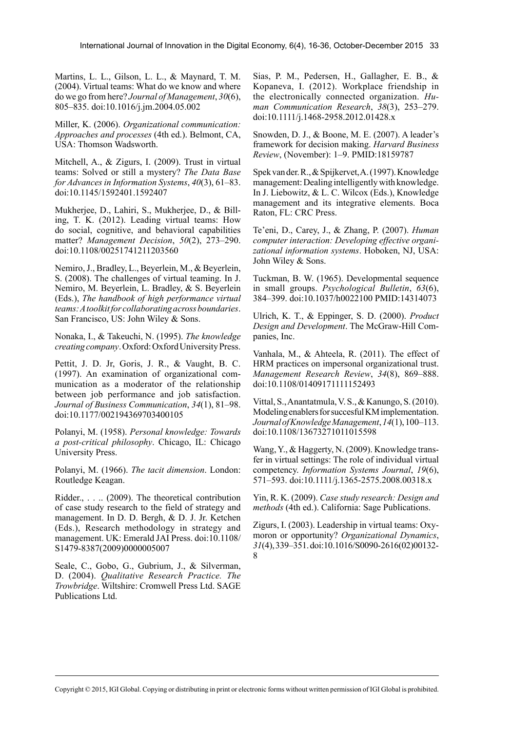Martins, L. L., Gilson, L. L., & Maynard, T. M. (2004). Virtual teams: What do we know and where do we go from here? *Journal of Management*, *30*(6), 805–835. doi[:10.1016/j.jm.2004.05.002](http://dx.doi.org/10.1016/j.jm.2004.05.002)

Miller, K. (2006). *Organizational communication: Approaches and processes* (4th ed.). Belmont, CA, USA: Thomson Wadsworth.

Mitchell, A., & Zigurs, I. (2009). Trust in virtual teams: Solved or still a mystery? *The Data Base for Advances in Information Systems*, *40*(3), 61–83. doi[:10.1145/1592401.1592407](http://dx.doi.org/10.1145/1592401.1592407)

Mukherjee, D., Lahiri, S., Mukherjee, D., & Billing, T. K. (2012). Leading virtual teams: How do social, cognitive, and behavioral capabilities matter? *Management Decision*, *50*(2), 273–290. doi[:10.1108/00251741211203560](http://dx.doi.org/10.1108/00251741211203560)

Nemiro, J., Bradley, L., Beyerlein, M., & Beyerlein, S. (2008). The challenges of virtual teaming. In J. Nemiro, M. Beyerlein, L. Bradley, & S. Beyerlein (Eds.), *The handbook of high performance virtual teams: A toolkit for collaborating across boundaries*. San Francisco, US: John Wiley & Sons.

Nonaka, I., & Takeuchi, N. (1995). *The knowledge creating company*. Oxford: Oxford University Press.

Pettit, J. D. Jr, Goris, J. R., & Vaught, B. C. (1997). An examination of organizational communication as a moderator of the relationship between job performance and job satisfaction. *Journal of Business Communication*, *34*(1), 81–98. doi[:10.1177/002194369703400105](http://dx.doi.org/10.1177/002194369703400105)

Polanyi, M. (1958). *Personal knowledge: Towards a post-critical philosophy*. Chicago, IL: Chicago University Press.

Polanyi, M. (1966). *The tacit dimension*. London: Routledge Keagan.

Ridder., . . .. (2009). The theoretical contribution of case study research to the field of strategy and management. In D. D. Bergh, & D. J. Jr. Ketchen (Eds.), Research methodology in strategy and management. UK: Emerald JAI Press. doi:[10.1108/](http://dx.doi.org/10.1108/S1479-8387(2009)0000005007) [S1479-8387\(2009\)0000005007](http://dx.doi.org/10.1108/S1479-8387(2009)0000005007)

Seale, C., Gobo, G., Gubrium, J., & Silverman, D. (2004). *Qualitative Research Practice. The Trowbridge*. Wiltshire: Cromwell Press Ltd. SAGE Publications Ltd.

Sias, P. M., Pedersen, H., Gallagher, E. B., & Kopaneva, I. (2012). Workplace friendship in the electronically connected organization. *Human Communication Research*, *38*(3), 253–279. doi[:10.1111/j.1468-2958.2012.01428.x](http://dx.doi.org/10.1111/j.1468-2958.2012.01428.x)

Snowden, D. J., & Boone, M. E. (2007). A leader's framework for decision making. *Harvard Business Review*, (November): 1–9. PMID[:18159787](http://www.ncbi.nlm.nih.gov/pubmed/18159787)

Spek van der. R., & Spijkervet, A. (1997). Knowledge management: Dealing intelligently with knowledge. In J. Liebowitz, & L. C. Wilcox (Eds.), Knowledge management and its integrative elements. Boca Raton, FL: CRC Press.

Te'eni, D., Carey, J., & Zhang, P. (2007). *Human computer interaction: Developing effective organizational information systems*. Hoboken, NJ, USA: John Wiley & Sons.

Tuckman, B. W. (1965). Developmental sequence in small groups. *Psychological Bulletin*, *63*(6), 384–399. doi[:10.1037/h0022100](http://dx.doi.org/10.1037/h0022100) PMID[:14314073](http://www.ncbi.nlm.nih.gov/pubmed/14314073)

Ulrich, K. T., & Eppinger, S. D. (2000). *Product Design and Development*. The McGraw-Hill Companies, Inc.

Vanhala, M., & Ahteela, R. (2011). The effect of HRM practices on impersonal organizational trust. *Management Research Review*, *34*(8), 869–888. doi[:10.1108/01409171111152493](http://dx.doi.org/10.1108/01409171111152493)

Vittal, S., Anantatmula, V. S., & Kanungo, S. (2010). Modeling enablers for succesful KM implementation. *Journal of Knowledge Management*, *14*(1), 100–113. doi[:10.1108/13673271011015598](http://dx.doi.org/10.1108/13673271011015598)

Wang, Y., & Haggerty, N. (2009). Knowledge transfer in virtual settings: The role of individual virtual competency. *Information Systems Journal*, *19*(6), 571–593. doi[:10.1111/j.1365-2575.2008.00318.x](http://dx.doi.org/10.1111/j.1365-2575.2008.00318.x)

Yin, R. K. (2009). *Case study research: Design and methods* (4th ed.). California: Sage Publications.

Zigurs, I. (2003). Leadership in virtual teams: Oxymoron or opportunity? *Organizational Dynamics*, *31*(4), 339–351. doi:[10.1016/S0090-2616\(02\)00132-](http://dx.doi.org/10.1016/S0090-2616(02)00132-8) [8](http://dx.doi.org/10.1016/S0090-2616(02)00132-8)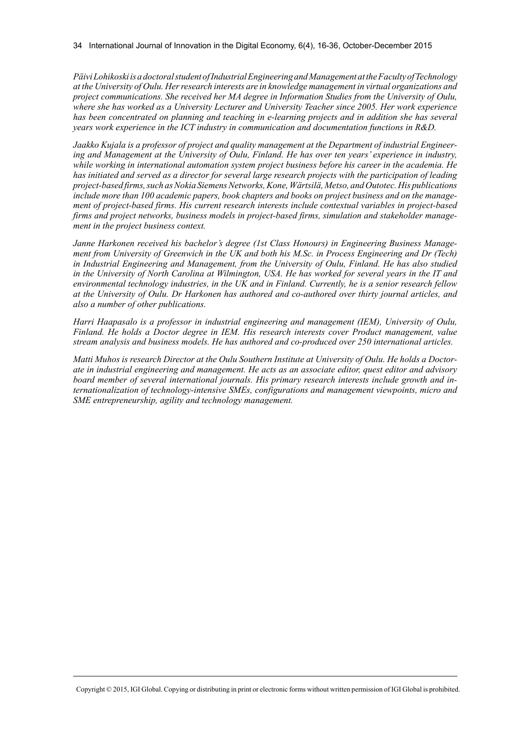*Päivi Lohikoski is a doctoral student of Industrial Engineering and Management at the Faculty of Technology at the University of Oulu. Her research interests are in knowledge management in virtual organizations and project communications. She received her MA degree in Information Studies from the University of Oulu, where she has worked as a University Lecturer and University Teacher since 2005. Her work experience*  has been concentrated on planning and teaching in e-learning projects and in addition she has several *years work experience in the ICT industry in communication and documentation functions in R&D.*

*Jaakko Kujala is a professor of project and quality management at the Department of industrial Engineering and Management at the University of Oulu, Finland. He has over ten years' experience in industry, while working in international automation system project business before his career in the academia. He has initiated and served as a director for several large research projects with the participation of leading project-based firms, such as Nokia Siemens Networks, Kone, Wärtsilä, Metso, and Outotec. His publications include more than 100 academic papers, book chapters and books on project business and on the management of project-based firms. His current research interests include contextual variables in project-based firms and project networks, business models in project-based firms, simulation and stakeholder management in the project business context.*

*Janne Harkonen received his bachelor's degree (1st Class Honours) in Engineering Business Management from University of Greenwich in the UK and both his M.Sc. in Process Engineering and Dr (Tech) in Industrial Engineering and Management, from the University of Oulu, Finland. He has also studied in the University of North Carolina at Wilmington, USA. He has worked for several years in the IT and environmental technology industries, in the UK and in Finland. Currently, he is a senior research fellow at the University of Oulu. Dr Harkonen has authored and co-authored over thirty journal articles, and also a number of other publications.*

*Harri Haapasalo is a professor in industrial engineering and management (IEM), University of Oulu, Finland. He holds a Doctor degree in IEM. His research interests cover Product management, value stream analysis and business models. He has authored and co-produced over 250 international articles.*

*Matti Muhos is research Director at the Oulu Southern Institute at University of Oulu. He holds a Doctorate in industrial engineering and management. He acts as an associate editor, quest editor and advisory board member of several international journals. His primary research interests include growth and internationalization of technology-intensive SMEs, configurations and management viewpoints, micro and SME entrepreneurship, agility and technology management.*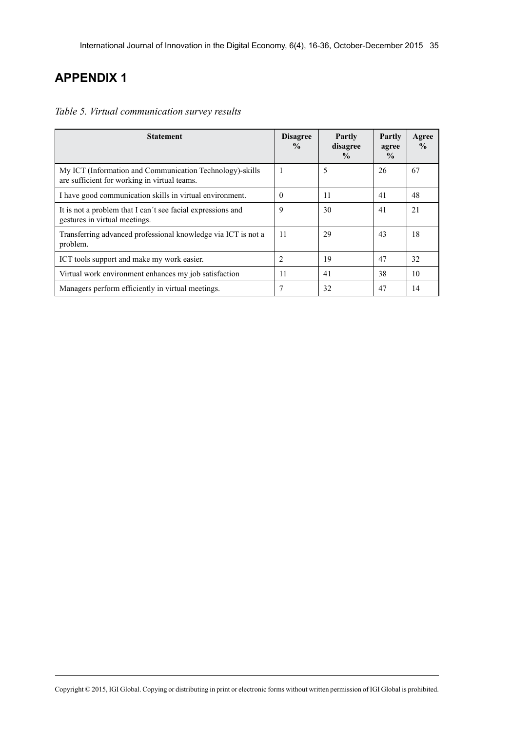# **APPENDIX 1**

*Table 5. Virtual communication survey results* 

| <b>Statement</b>                                                                                         | <b>Disagree</b><br>$\frac{6}{9}$ | Partly<br>disagree<br>$\frac{0}{0}$ | Partly<br>agree<br>$\frac{0}{0}$ | Agree<br>$\%$ |
|----------------------------------------------------------------------------------------------------------|----------------------------------|-------------------------------------|----------------------------------|---------------|
| My ICT (Information and Communication Technology)-skills<br>are sufficient for working in virtual teams. |                                  | 5                                   | 26                               | 67            |
| I have good communication skills in virtual environment.                                                 | $\theta$                         | 11                                  | 41                               | 48            |
| It is not a problem that I can't see facial expressions and<br>gestures in virtual meetings.             | 9                                | 30                                  | 41                               | 21            |
| Transferring advanced professional knowledge via ICT is not a<br>problem.                                | 11                               | 29                                  | 43                               | 18            |
| ICT tools support and make my work easier.                                                               | 2                                | 19                                  | 47                               | 32            |
| Virtual work environment enhances my job satisfaction                                                    | 11                               | 41                                  | 38                               | 10            |
| Managers perform efficiently in virtual meetings.                                                        |                                  | 32                                  | 47                               | 14            |